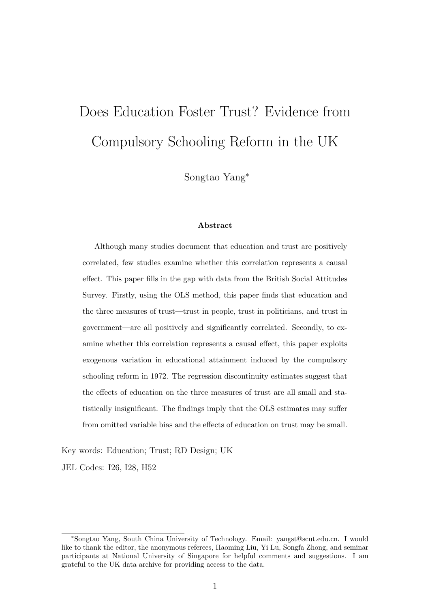# Does Education Foster Trust? Evidence from Compulsory Schooling Reform in the UK

Songtao Yang<sup>∗</sup>

#### Abstract

Although many studies document that education and trust are positively correlated, few studies examine whether this correlation represents a causal effect. This paper fills in the gap with data from the British Social Attitudes Survey. Firstly, using the OLS method, this paper finds that education and the three measures of trust—trust in people, trust in politicians, and trust in government—are all positively and significantly correlated. Secondly, to examine whether this correlation represents a causal effect, this paper exploits exogenous variation in educational attainment induced by the compulsory schooling reform in 1972. The regression discontinuity estimates suggest that the effects of education on the three measures of trust are all small and statistically insignificant. The findings imply that the OLS estimates may suffer from omitted variable bias and the effects of education on trust may be small.

Key words: Education; Trust; RD Design; UK

JEL Codes: I26, I28, H52

<sup>∗</sup>Songtao Yang, South China University of Technology. Email: yangst@scut.edu.cn. I would like to thank the editor, the anonymous referees, Haoming Liu, Yi Lu, Songfa Zhong, and seminar participants at National University of Singapore for helpful comments and suggestions. I am grateful to the UK data archive for providing access to the data.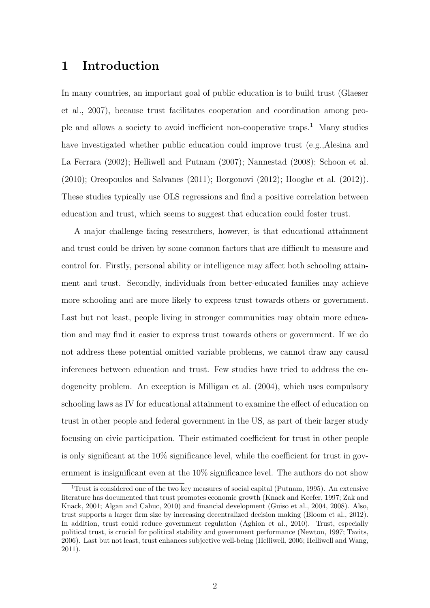# 1 Introduction

In many countries, an important goal of public education is to build trust [\(Glaeser](#page-22-0) [et al., 2007\)](#page-22-0), because trust facilitates cooperation and coordination among people and allows a society to avoid inefficient non-cooperative traps.[1](#page-1-0) Many studies have investigated whether public education could improve trust (e.g.[,Alesina and](#page-20-0) [La Ferrara](#page-20-0) [\(2002\)](#page-20-0); [Helliwell and Putnam](#page-22-1) [\(2007\)](#page-22-1); [Nannestad](#page-23-0) [\(2008\)](#page-23-0); [Schoon et al.](#page-24-0) [\(2010\)](#page-24-0); [Oreopoulos and Salvanes](#page-24-1) [\(2011\)](#page-24-1); [Borgonovi](#page-21-0) [\(2012\)](#page-21-0); [Hooghe et al.](#page-23-1) [\(2012\)](#page-23-1)). These studies typically use OLS regressions and find a positive correlation between education and trust, which seems to suggest that education could foster trust.

A major challenge facing researchers, however, is that educational attainment and trust could be driven by some common factors that are difficult to measure and control for. Firstly, personal ability or intelligence may affect both schooling attainment and trust. Secondly, individuals from better-educated families may achieve more schooling and are more likely to express trust towards others or government. Last but not least, people living in stronger communities may obtain more education and may find it easier to express trust towards others or government. If we do not address these potential omitted variable problems, we cannot draw any causal inferences between education and trust. Few studies have tried to address the endogeneity problem. An exception is [Milligan et al.](#page-23-2) [\(2004\)](#page-23-2), which uses compulsory schooling laws as IV for educational attainment to examine the effect of education on trust in other people and federal government in the US, as part of their larger study focusing on civic participation. Their estimated coefficient for trust in other people is only significant at the 10% significance level, while the coefficient for trust in government is insignificant even at the 10% significance level. The authors do not show

<span id="page-1-0"></span><sup>&</sup>lt;sup>1</sup>Trust is considered one of the two key measures of social capital [\(Putnam, 1995\)](#page-24-2). An extensive literature has documented that trust promotes economic growth [\(Knack and Keefer, 1997;](#page-23-3) [Zak and](#page-24-3) [Knack, 2001;](#page-24-3) [Algan and Cahuc, 2010\)](#page-20-1) and financial development [\(Guiso et al., 2004,](#page-22-2) [2008\)](#page-22-3). Also, trust supports a larger firm size by increasing decentralized decision making [\(Bloom et al., 2012\)](#page-21-1). In addition, trust could reduce government regulation [\(Aghion et al., 2010\)](#page-20-2). Trust, especially political trust, is crucial for political stability and government performance [\(Newton, 1997;](#page-24-4) [Tavits,](#page-24-5) [2006\)](#page-24-5). Last but not least, trust enhances subjective well-being [\(Helliwell, 2006;](#page-22-4) [Helliwell and Wang,](#page-22-5) [2011\)](#page-22-5).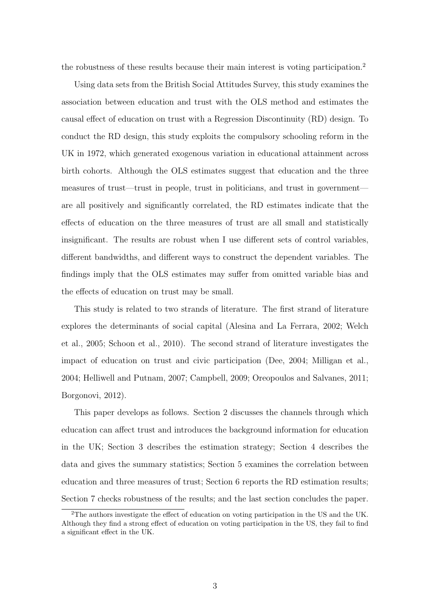the robustness of these results because their main interest is voting participation.[2](#page-2-0)

Using data sets from the British Social Attitudes Survey, this study examines the association between education and trust with the OLS method and estimates the causal effect of education on trust with a Regression Discontinuity (RD) design. To conduct the RD design, this study exploits the compulsory schooling reform in the UK in 1972, which generated exogenous variation in educational attainment across birth cohorts. Although the OLS estimates suggest that education and the three measures of trust—trust in people, trust in politicians, and trust in government are all positively and significantly correlated, the RD estimates indicate that the effects of education on the three measures of trust are all small and statistically insignificant. The results are robust when I use different sets of control variables, different bandwidths, and different ways to construct the dependent variables. The findings imply that the OLS estimates may suffer from omitted variable bias and the effects of education on trust may be small.

This study is related to two strands of literature. The first strand of literature explores the determinants of social capital [\(Alesina and La Ferrara, 2002;](#page-20-0) [Welch](#page-24-6) [et al., 2005;](#page-24-6) [Schoon et al., 2010\)](#page-24-0). The second strand of literature investigates the impact of education on trust and civic participation [\(Dee, 2004;](#page-21-2) [Milligan et al.,](#page-23-2) [2004;](#page-23-2) [Helliwell and Putnam, 2007;](#page-22-1) [Campbell, 2009;](#page-21-3) [Oreopoulos and Salvanes, 2011;](#page-24-1) [Borgonovi, 2012\)](#page-21-0).

This paper develops as follows. Section 2 discusses the channels through which education can affect trust and introduces the background information for education in the UK; Section 3 describes the estimation strategy; Section 4 describes the data and gives the summary statistics; Section 5 examines the correlation between education and three measures of trust; Section 6 reports the RD estimation results; Section 7 checks robustness of the results; and the last section concludes the paper.

<span id="page-2-0"></span><sup>&</sup>lt;sup>2</sup>The authors investigate the effect of education on voting participation in the US and the UK. Although they find a strong effect of education on voting participation in the US, they fail to find a significant effect in the UK.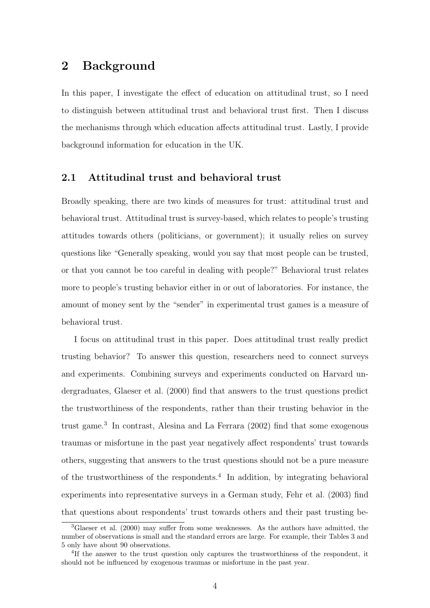## 2 Background

In this paper, I investigate the effect of education on attitudinal trust, so I need to distinguish between attitudinal trust and behavioral trust first. Then I discuss the mechanisms through which education affects attitudinal trust. Lastly, I provide background information for education in the UK.

## 2.1 Attitudinal trust and behavioral trust

Broadly speaking, there are two kinds of measures for trust: attitudinal trust and behavioral trust. Attitudinal trust is survey-based, which relates to people's trusting attitudes towards others (politicians, or government); it usually relies on survey questions like "Generally speaking, would you say that most people can be trusted, or that you cannot be too careful in dealing with people?" Behavioral trust relates more to people's trusting behavior either in or out of laboratories. For instance, the amount of money sent by the "sender" in experimental trust games is a measure of behavioral trust.

I focus on attitudinal trust in this paper. Does attitudinal trust really predict trusting behavior? To answer this question, researchers need to connect surveys and experiments. Combining surveys and experiments conducted on Harvard undergraduates, [Glaeser et al.](#page-22-6) [\(2000\)](#page-22-6) find that answers to the trust questions predict the trustworthiness of the respondents, rather than their trusting behavior in the trust game.[3](#page-3-0) In contrast, [Alesina and La Ferrara](#page-20-0) [\(2002\)](#page-20-0) find that some exogenous traumas or misfortune in the past year negatively affect respondents' trust towards others, suggesting that answers to the trust questions should not be a pure measure of the trustworthiness of the respondents.[4](#page-3-1) In addition, by integrating behavioral experiments into representative surveys in a German study, [Fehr et al.](#page-21-4) [\(2003\)](#page-21-4) find that questions about respondents' trust towards others and their past trusting be-

<span id="page-3-0"></span><sup>3</sup>[Glaeser et al.](#page-22-6) [\(2000\)](#page-22-6) may suffer from some weaknesses. As the authors have admitted, the number of observations is small and the standard errors are large. For example, their Tables 3 and 5 only have about 90 observations.

<span id="page-3-1"></span><sup>&</sup>lt;sup>4</sup>If the answer to the trust question only captures the trustworthiness of the respondent, it should not be influenced by exogenous traumas or misfortune in the past year.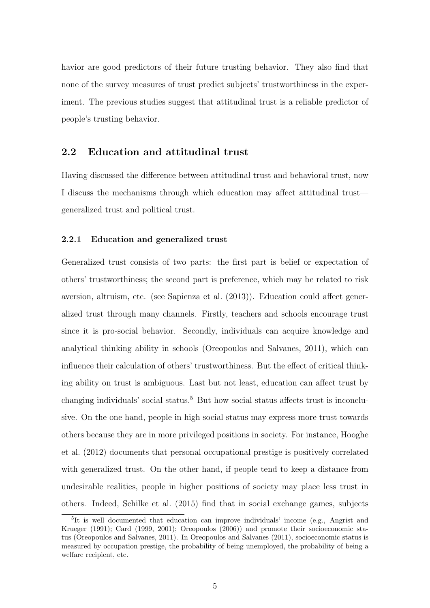havior are good predictors of their future trusting behavior. They also find that none of the survey measures of trust predict subjects' trustworthiness in the experiment. The previous studies suggest that attitudinal trust is a reliable predictor of people's trusting behavior.

#### 2.2 Education and attitudinal trust

Having discussed the difference between attitudinal trust and behavioral trust, now I discuss the mechanisms through which education may affect attitudinal trust generalized trust and political trust.

#### 2.2.1 Education and generalized trust

Generalized trust consists of two parts: the first part is belief or expectation of others' trustworthiness; the second part is preference, which may be related to risk aversion, altruism, etc. (see [Sapienza et al.](#page-24-7) [\(2013\)](#page-24-7)). Education could affect generalized trust through many channels. Firstly, teachers and schools encourage trust since it is pro-social behavior. Secondly, individuals can acquire knowledge and analytical thinking ability in schools [\(Oreopoulos and Salvanes, 2011\)](#page-24-1), which can influence their calculation of others' trustworthiness. But the effect of critical thinking ability on trust is ambiguous. Last but not least, education can affect trust by changing individuals' social status.<sup>[5](#page-4-0)</sup> But how social status affects trust is inconclusive. On the one hand, people in high social status may express more trust towards others because they are in more privileged positions in society. For instance, [Hooghe](#page-23-1) [et al.](#page-23-1) [\(2012\)](#page-23-1) documents that personal occupational prestige is positively correlated with generalized trust. On the other hand, if people tend to keep a distance from undesirable realities, people in higher positions of society may place less trust in others. Indeed, [Schilke et al.](#page-24-8) [\(2015\)](#page-24-8) find that in social exchange games, subjects

<span id="page-4-0"></span><sup>5</sup> It is well documented that education can improve individuals' income (e.g., [Angrist and](#page-21-5) [Krueger](#page-21-5) [\(1991\)](#page-21-5); [Card](#page-21-6) [\(1999,](#page-21-6) [2001\)](#page-21-7); [Oreopoulos](#page-24-9) [\(2006\)](#page-24-9)) and promote their socioeconomic status [\(Oreopoulos and Salvanes, 2011\)](#page-24-1). In [Oreopoulos and Salvanes](#page-24-1) [\(2011\)](#page-24-1), socioeconomic status is measured by occupation prestige, the probability of being unemployed, the probability of being a welfare recipient, etc.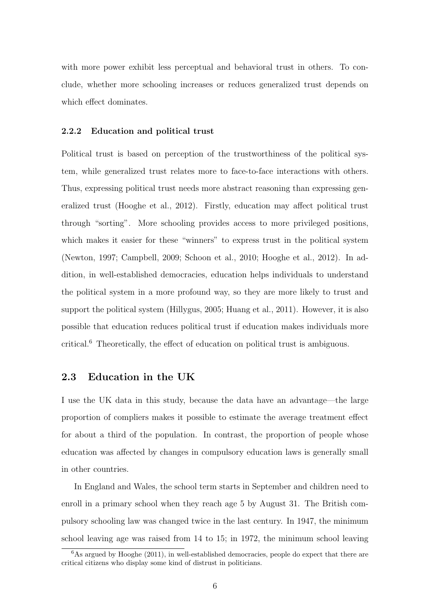with more power exhibit less perceptual and behavioral trust in others. To conclude, whether more schooling increases or reduces generalized trust depends on which effect dominates.

#### 2.2.2 Education and political trust

Political trust is based on perception of the trustworthiness of the political system, while generalized trust relates more to face-to-face interactions with others. Thus, expressing political trust needs more abstract reasoning than expressing generalized trust [\(Hooghe et al., 2012\)](#page-23-1). Firstly, education may affect political trust through "sorting". More schooling provides access to more privileged positions, which makes it easier for these "winners" to express trust in the political system [\(Newton, 1997;](#page-24-4) [Campbell, 2009;](#page-21-3) [Schoon et al., 2010;](#page-24-0) [Hooghe et al., 2012\)](#page-23-1). In addition, in well-established democracies, education helps individuals to understand the political system in a more profound way, so they are more likely to trust and support the political system [\(Hillygus, 2005;](#page-22-7) [Huang et al., 2011\)](#page-23-4). However, it is also possible that education reduces political trust if education makes individuals more critical.[6](#page-5-0) Theoretically, the effect of education on political trust is ambiguous.

## 2.3 Education in the UK

I use the UK data in this study, because the data have an advantage—the large proportion of compliers makes it possible to estimate the average treatment effect for about a third of the population. In contrast, the proportion of people whose education was affected by changes in compulsory education laws is generally small in other countries.

In England and Wales, the school term starts in September and children need to enroll in a primary school when they reach age 5 by August 31. The British compulsory schooling law was changed twice in the last century. In 1947, the minimum school leaving age was raised from 14 to 15; in 1972, the minimum school leaving

<span id="page-5-0"></span> $6$ As argued by [Hooghe](#page-23-5) [\(2011\)](#page-23-5), in well-established democracies, people do expect that there are critical citizens who display some kind of distrust in politicians.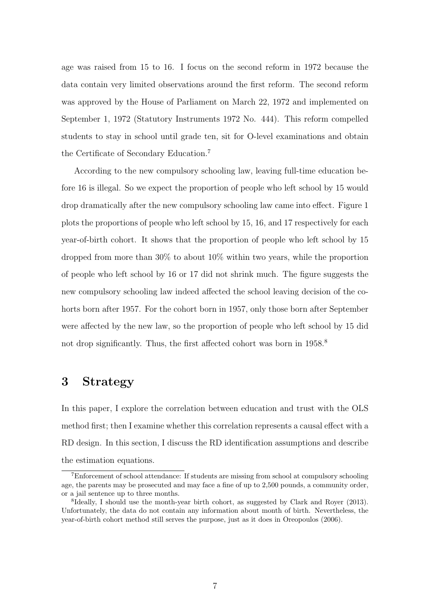age was raised from 15 to 16. I focus on the second reform in 1972 because the data contain very limited observations around the first reform. The second reform was approved by the House of Parliament on March 22, 1972 and implemented on September 1, 1972 (Statutory Instruments 1972 No. 444). This reform compelled students to stay in school until grade ten, sit for O-level examinations and obtain the Certificate of Secondary Education.[7](#page-6-0)

According to the new compulsory schooling law, leaving full-time education before 16 is illegal. So we expect the proportion of people who left school by 15 would drop dramatically after the new compulsory schooling law came into effect. [Figure 1](#page-25-0) plots the proportions of people who left school by 15, 16, and 17 respectively for each year-of-birth cohort. It shows that the proportion of people who left school by 15 dropped from more than 30% to about 10% within two years, while the proportion of people who left school by 16 or 17 did not shrink much. The figure suggests the new compulsory schooling law indeed affected the school leaving decision of the cohorts born after 1957. For the cohort born in 1957, only those born after September were affected by the new law, so the proportion of people who left school by 15 did not drop significantly. Thus, the first affected cohort was born in 195[8](#page-6-1).<sup>8</sup>

# 3 Strategy

In this paper, I explore the correlation between education and trust with the OLS method first; then I examine whether this correlation represents a causal effect with a RD design. In this section, I discuss the RD identification assumptions and describe the estimation equations.

<span id="page-6-0"></span><sup>&</sup>lt;sup>7</sup>Enforcement of school attendance: If students are missing from school at compulsory schooling age, the parents may be prosecuted and may face a fine of up to 2,500 pounds, a community order, or a jail sentence up to three months.

<span id="page-6-1"></span><sup>&</sup>lt;sup>8</sup>Ideally, I should use the month-year birth cohort, as suggested by [Clark and Royer](#page-21-8) [\(2013\)](#page-21-8). Unfortunately, the data do not contain any information about month of birth. Nevertheless, the year-of-birth cohort method still serves the purpose, just as it does in [Oreopoulos](#page-24-9) [\(2006\)](#page-24-9).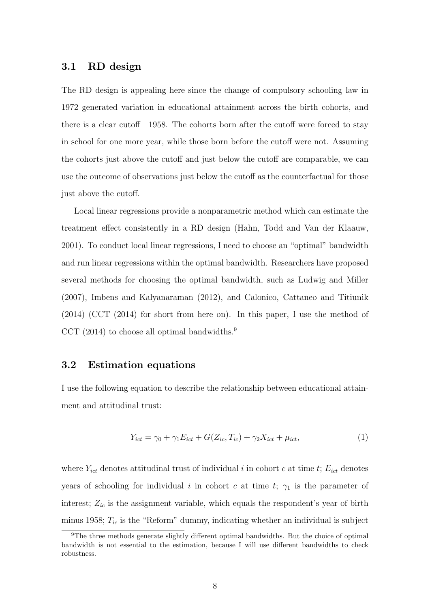#### 3.1 RD design

The RD design is appealing here since the change of compulsory schooling law in 1972 generated variation in educational attainment across the birth cohorts, and there is a clear cutoff—1958. The cohorts born after the cutoff were forced to stay in school for one more year, while those born before the cutoff were not. Assuming the cohorts just above the cutoff and just below the cutoff are comparable, we can use the outcome of observations just below the cutoff as the counterfactual for those just above the cutoff.

Local linear regressions provide a nonparametric method which can estimate the treatment effect consistently in a RD design [\(Hahn, Todd and Van der Klaauw,](#page-22-8) [2001\)](#page-22-8). To conduct local linear regressions, I need to choose an "optimal" bandwidth and run linear regressions within the optimal bandwidth. Researchers have proposed several methods for choosing the optimal bandwidth, such as [Ludwig and Miller](#page-23-6) [\(2007\)](#page-23-6), [Imbens and Kalyanaraman](#page-23-7) [\(2012\)](#page-23-7), and [Calonico, Cattaneo and Titiunik](#page-21-9) [\(2014\)](#page-21-9) (CCT (2014) for short from here on). In this paper, I use the method of CCT (2014) to choose all optimal bandwidths. $9$ 

## 3.2 Estimation equations

I use the following equation to describe the relationship between educational attainment and attitudinal trust:

$$
Y_{ict} = \gamma_0 + \gamma_1 E_{ict} + G(Z_{ic}, T_{ic}) + \gamma_2 X_{ict} + \mu_{ict},\tag{1}
$$

where  $Y_{ict}$  denotes attitudinal trust of individual i in cohort c at time t;  $E_{ict}$  denotes years of schooling for individual i in cohort c at time t;  $\gamma_1$  is the parameter of interest;  $Z_{ic}$  is the assignment variable, which equals the respondent's year of birth minus 1958;  $T_{ic}$  is the "Reform" dummy, indicating whether an individual is subject

<span id="page-7-0"></span><sup>&</sup>lt;sup>9</sup>The three methods generate slightly different optimal bandwidths. But the choice of optimal bandwidth is not essential to the estimation, because I will use different bandwidths to check robustness.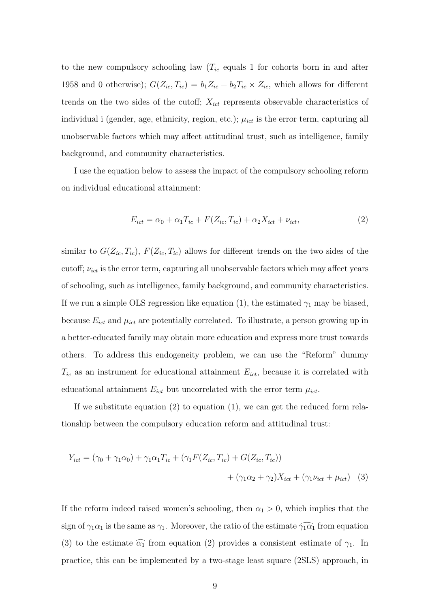to the new compulsory schooling law  $(T_{ic}$  equals 1 for cohorts born in and after 1958 and 0 otherwise);  $G(Z_{ic}, T_{ic}) = b_1 Z_{ic} + b_2 T_{ic} \times Z_{ic}$ , which allows for different trends on the two sides of the cutoff;  $X_{ict}$  represents observable characteristics of individual i (gender, age, ethnicity, region, etc.);  $\mu_{ict}$  is the error term, capturing all unobservable factors which may affect attitudinal trust, such as intelligence, family background, and community characteristics.

I use the equation below to assess the impact of the compulsory schooling reform on individual educational attainment:

$$
E_{ict} = \alpha_0 + \alpha_1 T_{ic} + F(Z_{ic}, T_{ic}) + \alpha_2 X_{ict} + \nu_{ict},\tag{2}
$$

similar to  $G(Z_{ic}, T_{ic})$ ,  $F(Z_{ic}, T_{ic})$  allows for different trends on the two sides of the cutoff;  $\nu_{ict}$  is the error term, capturing all unobservable factors which may affect years of schooling, such as intelligence, family background, and community characteristics. If we run a simple OLS regression like equation (1), the estimated  $\gamma_1$  may be biased, because  $E_{ict}$  and  $\mu_{ict}$  are potentially correlated. To illustrate, a person growing up in a better-educated family may obtain more education and express more trust towards others. To address this endogeneity problem, we can use the "Reform" dummy  $T_{ic}$  as an instrument for educational attainment  $E_{ict}$ , because it is correlated with educational attainment  $E_{ict}$  but uncorrelated with the error term  $\mu_{ict}$ .

If we substitute equation  $(2)$  to equation  $(1)$ , we can get the reduced form relationship between the compulsory education reform and attitudinal trust:

$$
Y_{ict} = (\gamma_0 + \gamma_1 \alpha_0) + \gamma_1 \alpha_1 T_{ic} + (\gamma_1 F(Z_{ic}, T_{ic}) + G(Z_{ic}, T_{ic}))
$$

$$
+ (\gamma_1 \alpha_2 + \gamma_2) X_{ict} + (\gamma_1 \nu_{ict} + \mu_{ict})
$$
(3)

If the reform indeed raised women's schooling, then  $\alpha_1 > 0$ , which implies that the sign of  $\gamma_1 \alpha_1$  is the same as  $\gamma_1$ . Moreover, the ratio of the estimate  $\widehat{\gamma_1 \alpha_1}$  from equation (3) to the estimate  $\widehat{\alpha_1}$  from equation (2) provides a consistent estimate of  $\gamma_1$ . In practice, this can be implemented by a two-stage least square (2SLS) approach, in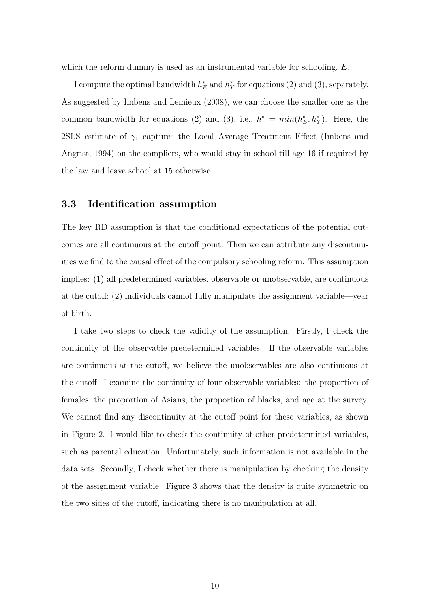which the reform dummy is used as an instrumental variable for schooling,  $E$ .

I compute the optimal bandwidth  $h_E^*$  and  $h_Y^*$  for equations (2) and (3), separately. As suggested by [Imbens and Lemieux](#page-23-8) [\(2008\)](#page-23-8), we can choose the smaller one as the common bandwidth for equations (2) and (3), i.e.,  $h^* = min(h_E^*, h_Y^*)$ . Here, the 2SLS estimate of  $\gamma_1$  captures the Local Average Treatment Effect [\(Imbens and](#page-23-9) [Angrist, 1994\)](#page-23-9) on the compliers, who would stay in school till age 16 if required by the law and leave school at 15 otherwise.

#### 3.3 Identification assumption

The key RD assumption is that the conditional expectations of the potential outcomes are all continuous at the cutoff point. Then we can attribute any discontinuities we find to the causal effect of the compulsory schooling reform. This assumption implies: (1) all predetermined variables, observable or unobservable, are continuous at the cutoff; (2) individuals cannot fully manipulate the assignment variable—year of birth.

I take two steps to check the validity of the assumption. Firstly, I check the continuity of the observable predetermined variables. If the observable variables are continuous at the cutoff, we believe the unobservables are also continuous at the cutoff. I examine the continuity of four observable variables: the proportion of females, the proportion of Asians, the proportion of blacks, and age at the survey. We cannot find any discontinuity at the cutoff point for these variables, as shown in [Figure 2.](#page-25-1) I would like to check the continuity of other predetermined variables, such as parental education. Unfortunately, such information is not available in the data sets. Secondly, I check whether there is manipulation by checking the density of the assignment variable. [Figure 3](#page-26-0) shows that the density is quite symmetric on the two sides of the cutoff, indicating there is no manipulation at all.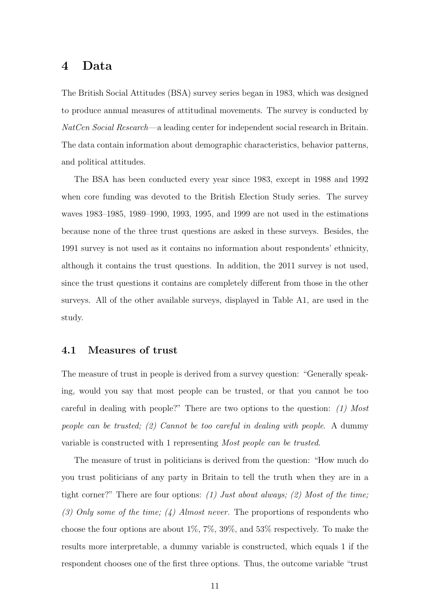## 4 Data

The British Social Attitudes (BSA) survey series began in 1983, which was designed to produce annual measures of attitudinal movements. The survey is conducted by NatCen Social Research—a leading center for independent social research in Britain. The data contain information about demographic characteristics, behavior patterns, and political attitudes.

The BSA has been conducted every year since 1983, except in 1988 and 1992 when core funding was devoted to the British Election Study series. The survey waves 1983–1985, 1989–1990, 1993, 1995, and 1999 are not used in the estimations because none of the three trust questions are asked in these surveys. Besides, the 1991 survey is not used as it contains no information about respondents' ethnicity, although it contains the trust questions. In addition, the 2011 survey is not used, since the trust questions it contains are completely different from those in the other surveys. All of the other available surveys, displayed in [Table A1,](#page-35-0) are used in the study.

#### 4.1 Measures of trust

The measure of trust in people is derived from a survey question: "Generally speaking, would you say that most people can be trusted, or that you cannot be too careful in dealing with people?" There are two options to the question:  $(1)$  Most people can be trusted; (2) Cannot be too careful in dealing with people. A dummy variable is constructed with 1 representing Most people can be trusted.

The measure of trust in politicians is derived from the question: "How much do you trust politicians of any party in Britain to tell the truth when they are in a tight corner?" There are four options: (1) Just about always; (2) Most of the time; (3) Only some of the time; (4) Almost never. The proportions of respondents who choose the four options are about 1%, 7%, 39%, and 53% respectively. To make the results more interpretable, a dummy variable is constructed, which equals 1 if the respondent chooses one of the first three options. Thus, the outcome variable "trust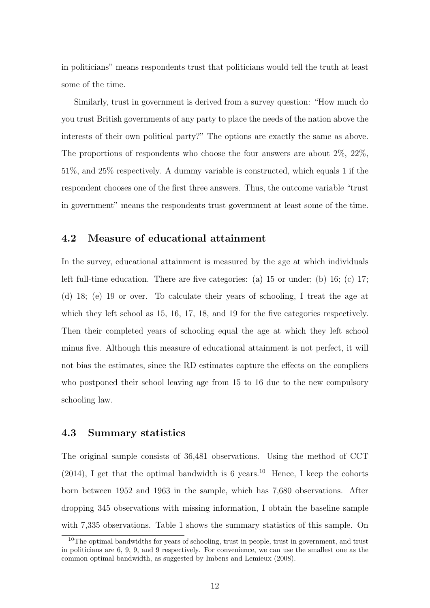in politicians" means respondents trust that politicians would tell the truth at least some of the time.

Similarly, trust in government is derived from a survey question: "How much do you trust British governments of any party to place the needs of the nation above the interests of their own political party?" The options are exactly the same as above. The proportions of respondents who choose the four answers are about 2%, 22%, 51%, and 25% respectively. A dummy variable is constructed, which equals 1 if the respondent chooses one of the first three answers. Thus, the outcome variable "trust in government" means the respondents trust government at least some of the time.

#### 4.2 Measure of educational attainment

In the survey, educational attainment is measured by the age at which individuals left full-time education. There are five categories: (a) 15 or under; (b) 16; (c) 17; (d) 18; (e) 19 or over. To calculate their years of schooling, I treat the age at which they left school as 15, 16, 17, 18, and 19 for the five categories respectively. Then their completed years of schooling equal the age at which they left school minus five. Although this measure of educational attainment is not perfect, it will not bias the estimates, since the RD estimates capture the effects on the compliers who postponed their school leaving age from 15 to 16 due to the new compulsory schooling law.

#### 4.3 Summary statistics

The original sample consists of 36,481 observations. Using the method of CCT  $(2014)$ , I get that the optimal bandwidth is 6 years.<sup>[10](#page-11-0)</sup> Hence, I keep the cohorts born between 1952 and 1963 in the sample, which has 7,680 observations. After dropping 345 observations with missing information, I obtain the baseline sample with 7,335 observations. [Table 1](#page-30-0) shows the summary statistics of this sample. On

<span id="page-11-0"></span> $10$ The optimal bandwidths for years of schooling, trust in people, trust in government, and trust in politicians are 6, 9, 9, and 9 respectively. For convenience, we can use the smallest one as the common optimal bandwidth, as suggested by [Imbens and Lemieux](#page-23-8) [\(2008\)](#page-23-8).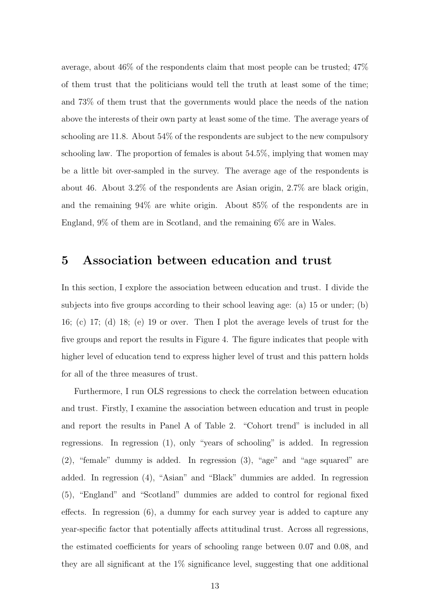average, about 46% of the respondents claim that most people can be trusted; 47% of them trust that the politicians would tell the truth at least some of the time; and 73% of them trust that the governments would place the needs of the nation above the interests of their own party at least some of the time. The average years of schooling are 11.8. About 54% of the respondents are subject to the new compulsory schooling law. The proportion of females is about 54.5%, implying that women may be a little bit over-sampled in the survey. The average age of the respondents is about 46. About 3.2% of the respondents are Asian origin, 2.7% are black origin, and the remaining 94% are white origin. About 85% of the respondents are in England, 9% of them are in Scotland, and the remaining 6% are in Wales.

# 5 Association between education and trust

In this section, I explore the association between education and trust. I divide the subjects into five groups according to their school leaving age: (a) 15 or under; (b) 16; (c) 17; (d) 18; (e) 19 or over. Then I plot the average levels of trust for the five groups and report the results in [Figure 4.](#page-26-1) The figure indicates that people with higher level of education tend to express higher level of trust and this pattern holds for all of the three measures of trust.

Furthermore, I run OLS regressions to check the correlation between education and trust. Firstly, I examine the association between education and trust in people and report the results in Panel A of Table [2.](#page-31-0) "Cohort trend" is included in all regressions. In regression (1), only "years of schooling" is added. In regression (2), "female" dummy is added. In regression (3), "age" and "age squared" are added. In regression (4), "Asian" and "Black" dummies are added. In regression (5), "England" and "Scotland" dummies are added to control for regional fixed effects. In regression (6), a dummy for each survey year is added to capture any year-specific factor that potentially affects attitudinal trust. Across all regressions, the estimated coefficients for years of schooling range between 0.07 and 0.08, and they are all significant at the 1% significance level, suggesting that one additional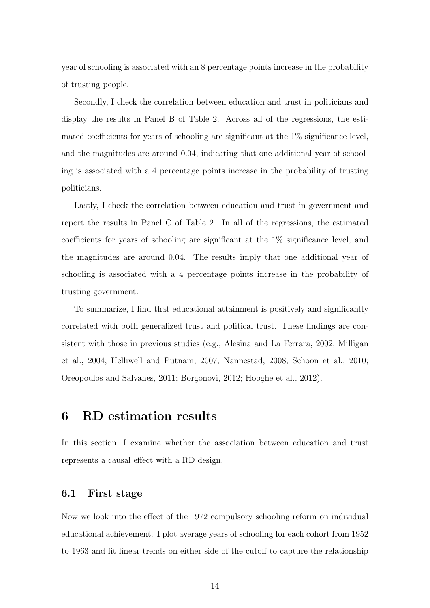year of schooling is associated with an 8 percentage points increase in the probability of trusting people.

Secondly, I check the correlation between education and trust in politicians and display the results in Panel B of [Table 2.](#page-31-0) Across all of the regressions, the estimated coefficients for years of schooling are significant at the 1% significance level, and the magnitudes are around 0.04, indicating that one additional year of schooling is associated with a 4 percentage points increase in the probability of trusting politicians.

Lastly, I check the correlation between education and trust in government and report the results in Panel C of [Table 2.](#page-31-0) In all of the regressions, the estimated coefficients for years of schooling are significant at the 1% significance level, and the magnitudes are around 0.04. The results imply that one additional year of schooling is associated with a 4 percentage points increase in the probability of trusting government.

To summarize, I find that educational attainment is positively and significantly correlated with both generalized trust and political trust. These findings are consistent with those in previous studies (e.g., [Alesina and La Ferrara, 2002;](#page-20-0) [Milligan](#page-23-2) [et al., 2004;](#page-23-2) [Helliwell and Putnam, 2007;](#page-22-1) [Nannestad, 2008;](#page-23-0) [Schoon et al., 2010;](#page-24-0) [Oreopoulos and Salvanes, 2011;](#page-24-1) [Borgonovi, 2012;](#page-21-0) [Hooghe et al., 2012\)](#page-23-1).

# 6 RD estimation results

In this section, I examine whether the association between education and trust represents a causal effect with a RD design.

## 6.1 First stage

Now we look into the effect of the 1972 compulsory schooling reform on individual educational achievement. I plot average years of schooling for each cohort from 1952 to 1963 and fit linear trends on either side of the cutoff to capture the relationship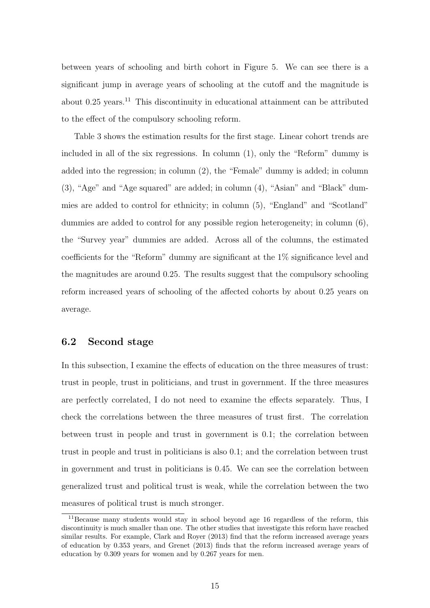between years of schooling and birth cohort in [Figure 5.](#page-27-0) We can see there is a significant jump in average years of schooling at the cutoff and the magnitude is about  $0.25$  years.<sup>[11](#page-14-0)</sup> This discontinuity in educational attainment can be attributed to the effect of the compulsory schooling reform.

[Table 3](#page-32-0) shows the estimation results for the first stage. Linear cohort trends are included in all of the six regressions. In column (1), only the "Reform" dummy is added into the regression; in column (2), the "Female" dummy is added; in column (3), "Age" and "Age squared" are added; in column (4), "Asian" and "Black" dummies are added to control for ethnicity; in column (5), "England" and "Scotland" dummies are added to control for any possible region heterogeneity; in column (6), the "Survey year" dummies are added. Across all of the columns, the estimated coefficients for the "Reform" dummy are significant at the 1% significance level and the magnitudes are around 0.25. The results suggest that the compulsory schooling reform increased years of schooling of the affected cohorts by about 0.25 years on average.

#### 6.2 Second stage

In this subsection, I examine the effects of education on the three measures of trust: trust in people, trust in politicians, and trust in government. If the three measures are perfectly correlated, I do not need to examine the effects separately. Thus, I check the correlations between the three measures of trust first. The correlation between trust in people and trust in government is 0.1; the correlation between trust in people and trust in politicians is also 0.1; and the correlation between trust in government and trust in politicians is 0.45. We can see the correlation between generalized trust and political trust is weak, while the correlation between the two measures of political trust is much stronger.

<span id="page-14-0"></span><sup>11</sup>Because many students would stay in school beyond age 16 regardless of the reform, this discontinuity is much smaller than one. The other studies that investigate this reform have reached similar results. For example, [Clark and Royer](#page-21-8) [\(2013\)](#page-21-8) find that the reform increased average years of education by 0.353 years, and [Grenet](#page-22-9) [\(2013\)](#page-22-9) finds that the reform increased average years of education by 0.309 years for women and by 0.267 years for men.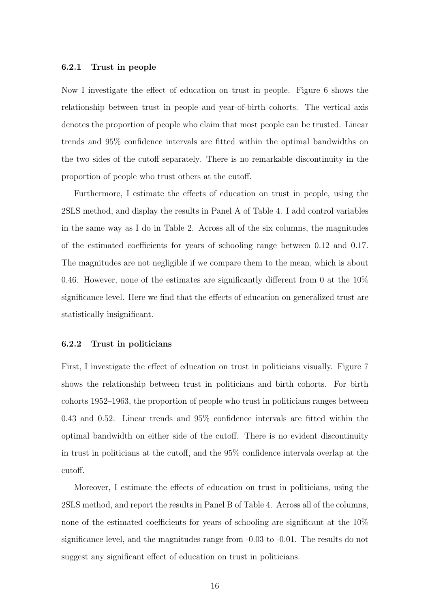#### 6.2.1 Trust in people

Now I investigate the effect of education on trust in people. [Figure 6](#page-27-1) shows the relationship between trust in people and year-of-birth cohorts. The vertical axis denotes the proportion of people who claim that most people can be trusted. Linear trends and 95% confidence intervals are fitted within the optimal bandwidths on the two sides of the cutoff separately. There is no remarkable discontinuity in the proportion of people who trust others at the cutoff.

Furthermore, I estimate the effects of education on trust in people, using the 2SLS method, and display the results in Panel A of [Table 4.](#page-33-0) I add control variables in the same way as I do in Table [2.](#page-31-0) Across all of the six columns, the magnitudes of the estimated coefficients for years of schooling range between 0.12 and 0.17. The magnitudes are not negligible if we compare them to the mean, which is about 0.46. However, none of the estimates are significantly different from 0 at the 10% significance level. Here we find that the effects of education on generalized trust are statistically insignificant.

#### 6.2.2 Trust in politicians

First, I investigate the effect of education on trust in politicians visually. [Figure 7](#page-28-0) shows the relationship between trust in politicians and birth cohorts. For birth cohorts 1952–1963, the proportion of people who trust in politicians ranges between 0.43 and 0.52. Linear trends and 95% confidence intervals are fitted within the optimal bandwidth on either side of the cutoff. There is no evident discontinuity in trust in politicians at the cutoff, and the 95% confidence intervals overlap at the cutoff.

Moreover, I estimate the effects of education on trust in politicians, using the 2SLS method, and report the results in Panel B of [Table 4.](#page-33-0) Across all of the columns, none of the estimated coefficients for years of schooling are significant at the 10% significance level, and the magnitudes range from -0.03 to -0.01. The results do not suggest any significant effect of education on trust in politicians.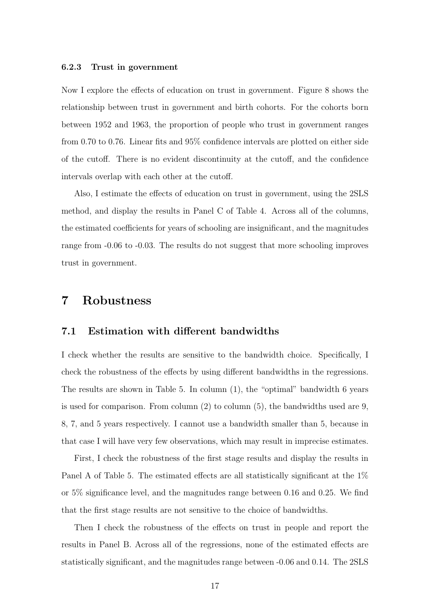#### 6.2.3 Trust in government

Now I explore the effects of education on trust in government. [Figure 8](#page-28-1) shows the relationship between trust in government and birth cohorts. For the cohorts born between 1952 and 1963, the proportion of people who trust in government ranges from 0.70 to 0.76. Linear fits and 95% confidence intervals are plotted on either side of the cutoff. There is no evident discontinuity at the cutoff, and the confidence intervals overlap with each other at the cutoff.

Also, I estimate the effects of education on trust in government, using the 2SLS method, and display the results in Panel C of [Table 4.](#page-33-0) Across all of the columns, the estimated coefficients for years of schooling are insignificant, and the magnitudes range from -0.06 to -0.03. The results do not suggest that more schooling improves trust in government.

## 7 Robustness

#### 7.1 Estimation with different bandwidths

I check whether the results are sensitive to the bandwidth choice. Specifically, I check the robustness of the effects by using different bandwidths in the regressions. The results are shown in [Table 5.](#page-34-0) In column (1), the "optimal" bandwidth 6 years is used for comparison. From column (2) to column (5), the bandwidths used are 9, 8, 7, and 5 years respectively. I cannot use a bandwidth smaller than 5, because in that case I will have very few observations, which may result in imprecise estimates.

First, I check the robustness of the first stage results and display the results in Panel A of [Table 5.](#page-34-0) The estimated effects are all statistically significant at the 1% or 5% significance level, and the magnitudes range between 0.16 and 0.25. We find that the first stage results are not sensitive to the choice of bandwidths.

Then I check the robustness of the effects on trust in people and report the results in Panel B. Across all of the regressions, none of the estimated effects are statistically significant, and the magnitudes range between -0.06 and 0.14. The 2SLS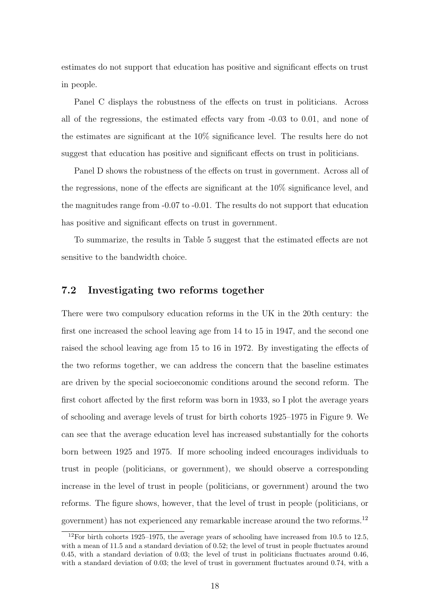estimates do not support that education has positive and significant effects on trust in people.

Panel C displays the robustness of the effects on trust in politicians. Across all of the regressions, the estimated effects vary from -0.03 to 0.01, and none of the estimates are significant at the 10% significance level. The results here do not suggest that education has positive and significant effects on trust in politicians.

Panel D shows the robustness of the effects on trust in government. Across all of the regressions, none of the effects are significant at the 10% significance level, and the magnitudes range from -0.07 to -0.01. The results do not support that education has positive and significant effects on trust in government.

To summarize, the results in [Table 5](#page-34-0) suggest that the estimated effects are not sensitive to the bandwidth choice.

### 7.2 Investigating two reforms together

There were two compulsory education reforms in the UK in the 20th century: the first one increased the school leaving age from 14 to 15 in 1947, and the second one raised the school leaving age from 15 to 16 in 1972. By investigating the effects of the two reforms together, we can address the concern that the baseline estimates are driven by the special socioeconomic conditions around the second reform. The first cohort affected by the first reform was born in 1933, so I plot the average years of schooling and average levels of trust for birth cohorts 1925–1975 in [Figure 9.](#page-29-0) We can see that the average education level has increased substantially for the cohorts born between 1925 and 1975. If more schooling indeed encourages individuals to trust in people (politicians, or government), we should observe a corresponding increase in the level of trust in people (politicians, or government) around the two reforms. The figure shows, however, that the level of trust in people (politicians, or government) has not experienced any remarkable increase around the two reforms.[12](#page-17-0)

<span id="page-17-0"></span> $12$ For birth cohorts 1925–1975, the average years of schooling have increased from 10.5 to 12.5, with a mean of 11.5 and a standard deviation of 0.52; the level of trust in people fluctuates around 0.45, with a standard deviation of 0.03; the level of trust in politicians fluctuates around 0.46, with a standard deviation of 0.03; the level of trust in government fluctuates around 0.74, with a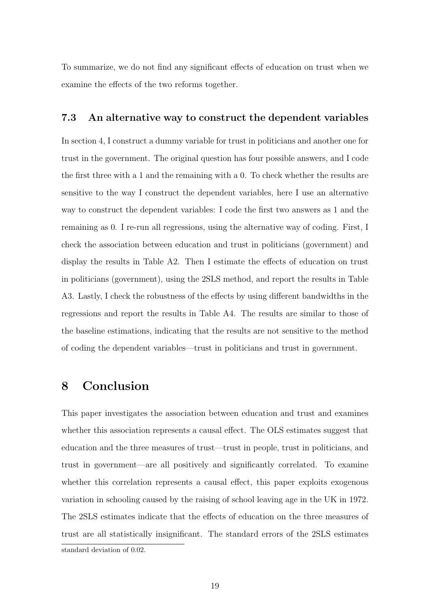To summarize, we do not find any significant effects of education on trust when we examine the effects of the two reforms together.

#### 7.3 An alternative way to construct the dependent variables

In section 4, I construct a dummy variable for trust in politicians and another one for trust in the government. The original question has four possible answers, and I code the first three with a 1 and the remaining with a 0. To check whether the results are sensitive to the way I construct the dependent variables, here I use an alternative way to construct the dependent variables: I code the first two answers as 1 and the remaining as 0. I re-run all regressions, using the alternative way of coding. First, I check the association between education and trust in politicians (government) and display the results in Table A2. Then I estimate the effects of education on trust in politicians (government), using the 2SLS method, and report the results in Table A3. Lastly, I check the robustness of the effects by using different bandwidths in the regressions and report the results in Table A4. The results are similar to those of the baseline estimations, indicating that the results are not sensitive to the method of coding the dependent variables—trust in politicians and trust in government.

# 8 Conclusion

This paper investigates the association between education and trust and examines whether this association represents a causal effect. The OLS estimates suggest that education and the three measures of trust—trust in people, trust in politicians, and trust in government—are all positively and significantly correlated. To examine whether this correlation represents a causal effect, this paper exploits exogenous variation in schooling caused by the raising of school leaving age in the UK in 1972. The 2SLS estimates indicate that the effects of education on the three measures of trust are all statistically insignificant. The standard errors of the 2SLS estimates standard deviation of 0.02.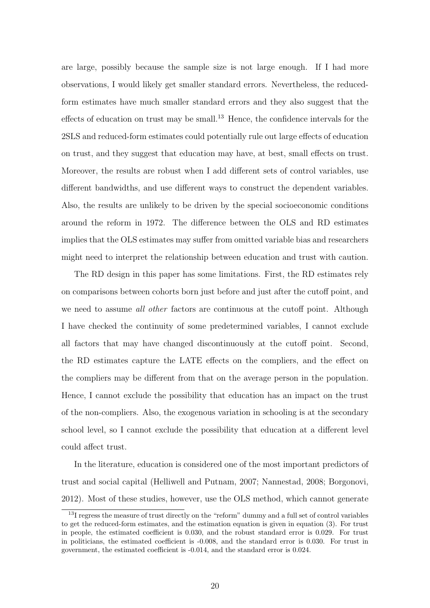are large, possibly because the sample size is not large enough. If I had more observations, I would likely get smaller standard errors. Nevertheless, the reducedform estimates have much smaller standard errors and they also suggest that the effects of education on trust may be small.<sup>[13](#page-19-0)</sup> Hence, the confidence intervals for the 2SLS and reduced-form estimates could potentially rule out large effects of education on trust, and they suggest that education may have, at best, small effects on trust. Moreover, the results are robust when I add different sets of control variables, use different bandwidths, and use different ways to construct the dependent variables. Also, the results are unlikely to be driven by the special socioeconomic conditions around the reform in 1972. The difference between the OLS and RD estimates implies that the OLS estimates may suffer from omitted variable bias and researchers might need to interpret the relationship between education and trust with caution.

The RD design in this paper has some limitations. First, the RD estimates rely on comparisons between cohorts born just before and just after the cutoff point, and we need to assume *all other* factors are continuous at the cutoff point. Although I have checked the continuity of some predetermined variables, I cannot exclude all factors that may have changed discontinuously at the cutoff point. Second, the RD estimates capture the LATE effects on the compliers, and the effect on the compliers may be different from that on the average person in the population. Hence, I cannot exclude the possibility that education has an impact on the trust of the non-compliers. Also, the exogenous variation in schooling is at the secondary school level, so I cannot exclude the possibility that education at a different level could affect trust.

In the literature, education is considered one of the most important predictors of trust and social capital [\(Helliwell and Putnam, 2007;](#page-22-1) [Nannestad, 2008;](#page-23-0) [Borgonovi,](#page-21-0) [2012\)](#page-21-0). Most of these studies, however, use the OLS method, which cannot generate

<span id="page-19-0"></span><sup>&</sup>lt;sup>13</sup>I regress the measure of trust directly on the "reform" dummy and a full set of control variables to get the reduced-form estimates, and the estimation equation is given in equation (3). For trust in people, the estimated coefficient is 0.030, and the robust standard error is 0.029. For trust in politicians, the estimated coefficient is -0.008, and the standard error is 0.030. For trust in government, the estimated coefficient is -0.014, and the standard error is 0.024.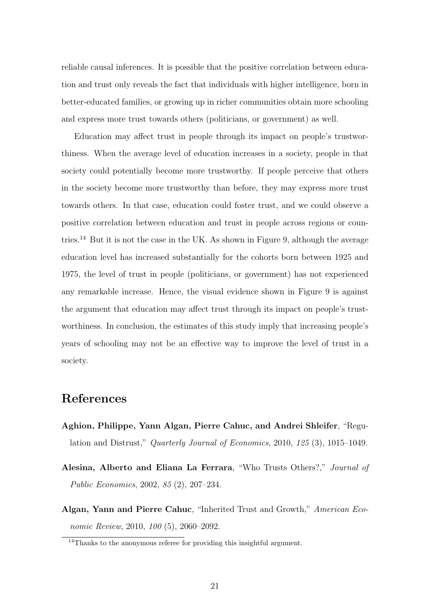reliable causal inferences. It is possible that the positive correlation between education and trust only reveals the fact that individuals with higher intelligence, born in better-educated families, or growing up in richer communities obtain more schooling and express more trust towards others (politicians, or government) as well.

Education may affect trust in people through its impact on people's trustworthiness. When the average level of education increases in a society, people in that society could potentially become more trustworthy. If people perceive that others in the society become more trustworthy than before, they may express more trust towards others. In that case, education could foster trust, and we could observe a positive correlation between education and trust in people across regions or coun-tries.<sup>[14](#page-20-3)</sup> But it is not the case in the UK. As shown in Figure 9, although the average education level has increased substantially for the cohorts born between 1925 and 1975, the level of trust in people (politicians, or government) has not experienced any remarkable increase. Hence, the visual evidence shown in Figure 9 is against the argument that education may affect trust through its impact on people's trustworthiness. In conclusion, the estimates of this study imply that increasing people's years of schooling may not be an effective way to improve the level of trust in a society.

# References

- <span id="page-20-2"></span>Aghion, Philippe, Yann Algan, Pierre Cahuc, and Andrei Shleifer, "Regulation and Distrust," Quarterly Journal of Economics, 2010, 125 (3), 1015–1049.
- <span id="page-20-0"></span>Alesina, Alberto and Eliana La Ferrara, "Who Trusts Others?," Journal of Public Economics, 2002, 85 (2), 207–234.
- <span id="page-20-1"></span>Algan, Yann and Pierre Cahuc, "Inherited Trust and Growth," American Economic Review, 2010, 100 (5), 2060–2092.

<span id="page-20-3"></span><sup>&</sup>lt;sup>14</sup>Thanks to the anonymous referee for providing this insightful argument.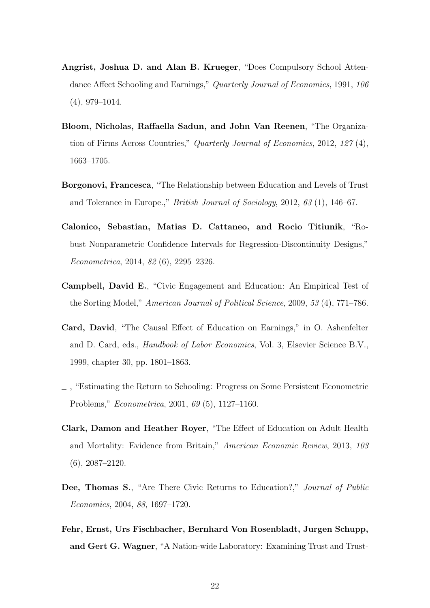- <span id="page-21-5"></span>Angrist, Joshua D. and Alan B. Krueger, "Does Compulsory School Attendance Affect Schooling and Earnings," Quarterly Journal of Economics, 1991, 106 (4), 979–1014.
- <span id="page-21-1"></span>Bloom, Nicholas, Raffaella Sadun, and John Van Reenen, "The Organization of Firms Across Countries," Quarterly Journal of Economics, 2012, 127 (4), 1663–1705.
- <span id="page-21-0"></span>Borgonovi, Francesca, "The Relationship between Education and Levels of Trust and Tolerance in Europe.," British Journal of Sociology, 2012, 63 (1), 146–67.
- <span id="page-21-9"></span>Calonico, Sebastian, Matias D. Cattaneo, and Rocio Titiunik, "Robust Nonparametric Confidence Intervals for Regression-Discontinuity Designs," Econometrica, 2014, 82 (6), 2295–2326.
- <span id="page-21-3"></span>Campbell, David E., "Civic Engagement and Education: An Empirical Test of the Sorting Model," American Journal of Political Science, 2009, 53 (4), 771–786.
- <span id="page-21-6"></span>Card, David, "The Causal Effect of Education on Earnings," in O. Ashenfelter and D. Card, eds., Handbook of Labor Economics, Vol. 3, Elsevier Science B.V., 1999, chapter 30, pp. 1801–1863.
- <span id="page-21-7"></span>, "Estimating the Return to Schooling: Progress on Some Persistent Econometric Problems," Econometrica, 2001, 69 (5), 1127–1160.
- <span id="page-21-8"></span>Clark, Damon and Heather Royer, "The Effect of Education on Adult Health and Mortality: Evidence from Britain," American Economic Review, 2013, 103 (6), 2087–2120.
- <span id="page-21-2"></span>Dee, Thomas S., "Are There Civic Returns to Education?," Journal of Public Economics, 2004, 88, 1697–1720.
- <span id="page-21-4"></span>Fehr, Ernst, Urs Fischbacher, Bernhard Von Rosenbladt, Jurgen Schupp, and Gert G. Wagner, "A Nation-wide Laboratory: Examining Trust and Trust-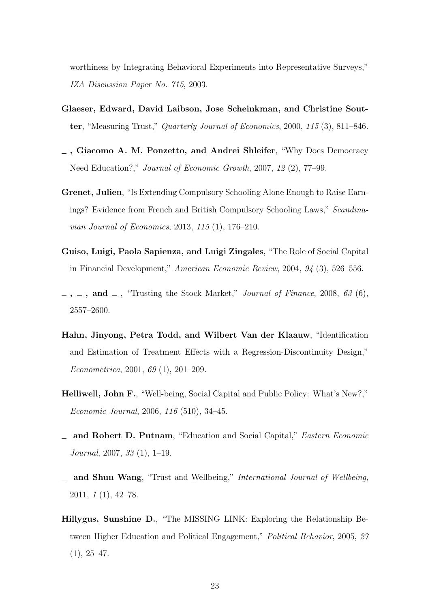worthiness by Integrating Behavioral Experiments into Representative Surveys," IZA Discussion Paper No. 715, 2003.

- <span id="page-22-6"></span>Glaeser, Edward, David Laibson, Jose Scheinkman, and Christine Soutter, "Measuring Trust," Quarterly Journal of Economics, 2000, 115 (3), 811–846.
- <span id="page-22-0"></span>, Giacomo A. M. Ponzetto, and Andrei Shleifer, "Why Does Democracy Need Education?," Journal of Economic Growth, 2007, 12 (2), 77–99.
- <span id="page-22-9"></span>Grenet, Julien, "Is Extending Compulsory Schooling Alone Enough to Raise Earnings? Evidence from French and British Compulsory Schooling Laws," Scandinavian Journal of Economics, 2013, 115 (1), 176–210.
- <span id="page-22-2"></span>Guiso, Luigi, Paola Sapienza, and Luigi Zingales, "The Role of Social Capital in Financial Development," American Economic Review, 2004, 94 (3), 526–556.
- <span id="page-22-3"></span> $\ldots$ , and  $\ldots$ , "Trusting the Stock Market," *Journal of Finance*, 2008, 63 (6), 2557–2600.
- <span id="page-22-8"></span>Hahn, Jinyong, Petra Todd, and Wilbert Van der Klaauw, "Identification and Estimation of Treatment Effects with a Regression-Discontinuity Design," Econometrica, 2001, 69 (1), 201–209.
- <span id="page-22-4"></span>Helliwell, John F., "Well-being, Social Capital and Public Policy: What's New?," Economic Journal, 2006, 116 (510), 34–45.
- <span id="page-22-1"></span>and Robert D. Putnam, "Education and Social Capital," Eastern Economic Journal, 2007, 33 (1), 1–19.
- <span id="page-22-5"></span>and Shun Wang, "Trust and Wellbeing," International Journal of Wellbeing, 2011, 1 (1), 42–78.
- <span id="page-22-7"></span>Hillygus, Sunshine D., "The MISSING LINK: Exploring the Relationship Between Higher Education and Political Engagement," Political Behavior, 2005, 27  $(1), 25-47.$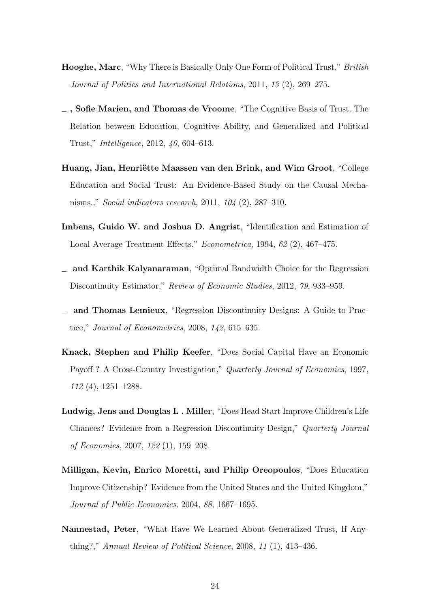- <span id="page-23-5"></span>Hooghe, Marc, "Why There is Basically Only One Form of Political Trust," British Journal of Politics and International Relations, 2011, 13 (2), 269–275.
- <span id="page-23-1"></span>, Sofie Marien, and Thomas de Vroome, "The Cognitive Basis of Trust. The Relation between Education, Cognitive Ability, and Generalized and Political Trust," Intelligence, 2012, 40, 604–613.
- <span id="page-23-4"></span>Huang, Jian, Henriëtte Maassen van den Brink, and Wim Groot, "College Education and Social Trust: An Evidence-Based Study on the Causal Mechanisms.," Social indicators research, 2011, 104 (2), 287–310.
- <span id="page-23-9"></span>Imbens, Guido W. and Joshua D. Angrist, "Identification and Estimation of Local Average Treatment Effects," Econometrica, 1994, 62 (2), 467-475.
- <span id="page-23-7"></span>and Karthik Kalyanaraman, "Optimal Bandwidth Choice for the Regression Discontinuity Estimator," Review of Economic Studies, 2012, 79, 933–959.
- <span id="page-23-8"></span>and Thomas Lemieux, "Regression Discontinuity Designs: A Guide to Practice," Journal of Econometrics, 2008, 142, 615–635.
- <span id="page-23-3"></span>Knack, Stephen and Philip Keefer, "Does Social Capital Have an Economic Payoff ? A Cross-Country Investigation," Quarterly Journal of Economics, 1997, 112 (4), 1251–1288.
- <span id="page-23-6"></span>Ludwig, Jens and Douglas L . Miller, "Does Head Start Improve Children's Life Chances? Evidence from a Regression Discontinuity Design," Quarterly Journal of Economics, 2007, 122 (1), 159–208.
- <span id="page-23-2"></span>Milligan, Kevin, Enrico Moretti, and Philip Oreopoulos, "Does Education Improve Citizenship? Evidence from the United States and the United Kingdom," Journal of Public Economics, 2004, 88, 1667–1695.
- <span id="page-23-0"></span>Nannestad, Peter, "What Have We Learned About Generalized Trust, If Anything?," Annual Review of Political Science, 2008, 11 (1), 413–436.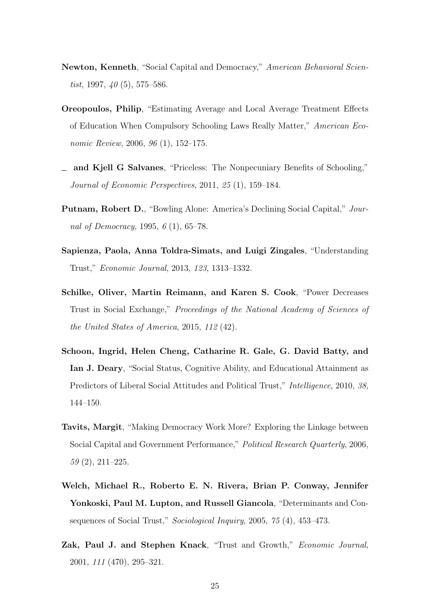- <span id="page-24-4"></span>Newton, Kenneth, "Social Capital and Democracy," American Behavioral Scientist, 1997,  $\angle 40$  (5), 575–586.
- <span id="page-24-9"></span>Oreopoulos, Philip, "Estimating Average and Local Average Treatment Effects of Education When Compulsory Schooling Laws Really Matter," American Economic Review, 2006, 96 (1), 152–175.
- <span id="page-24-1"></span>and Kjell G Salvanes, "Priceless: The Nonpecuniary Benefits of Schooling," Journal of Economic Perspectives, 2011, 25 (1), 159–184.
- <span id="page-24-2"></span>Putnam, Robert D., "Bowling Alone: America's Declining Social Capital," Journal of Democracy, 1995,  $6(1)$ , 65–78.
- <span id="page-24-7"></span>Sapienza, Paola, Anna Toldra-Simats, and Luigi Zingales, "Understanding Trust," Economic Journal, 2013, 123, 1313–1332.
- <span id="page-24-8"></span>Schilke, Oliver, Martin Reimann, and Karen S. Cook, "Power Decreases Trust in Social Exchange," Proceedings of the National Academy of Sciences of the United States of America, 2015, 112 (42).
- <span id="page-24-0"></span>Schoon, Ingrid, Helen Cheng, Catharine R. Gale, G. David Batty, and Ian J. Deary, "Social Status, Cognitive Ability, and Educational Attainment as Predictors of Liberal Social Attitudes and Political Trust," Intelligence, 2010, 38, 144–150.
- <span id="page-24-5"></span>Tavits, Margit, "Making Democracy Work More? Exploring the Linkage between Social Capital and Government Performance," Political Research Quarterly, 2006, 59 (2), 211–225.
- <span id="page-24-6"></span>Welch, Michael R., Roberto E. N. Rivera, Brian P. Conway, Jennifer Yonkoski, Paul M. Lupton, and Russell Giancola, "Determinants and Consequences of Social Trust," Sociological Inquiry, 2005, 75 (4), 453–473.
- <span id="page-24-3"></span>Zak, Paul J. and Stephen Knack, "Trust and Growth," Economic Journal, 2001, 111 (470), 295–321.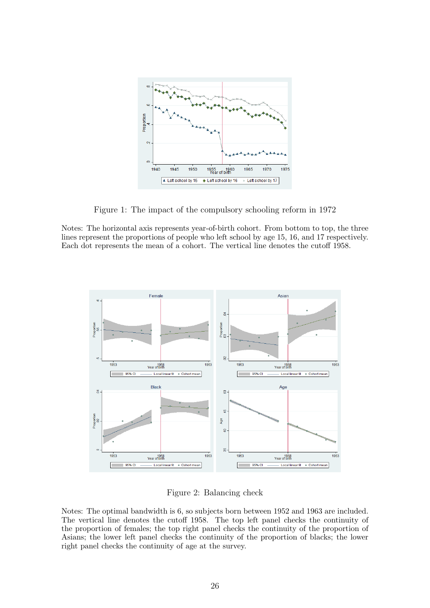<span id="page-25-0"></span>

Figure 1: The impact of the compulsory schooling reform in 1972

Notes: The horizontal axis represents year-of-birth cohort. From bottom to top, the three lines represent the proportions of people who left school by age 15, 16, and 17 respectively. Each dot represents the mean of a cohort. The vertical line denotes the cutoff 1958.

<span id="page-25-1"></span>

Figure 2: Balancing check

Notes: The optimal bandwidth is 6, so subjects born between 1952 and 1963 are included. The vertical line denotes the cutoff 1958. The top left panel checks the continuity of the proportion of females; the top right panel checks the continuity of the proportion of Asians; the lower left panel checks the continuity of the proportion of blacks; the lower right panel checks the continuity of age at the survey.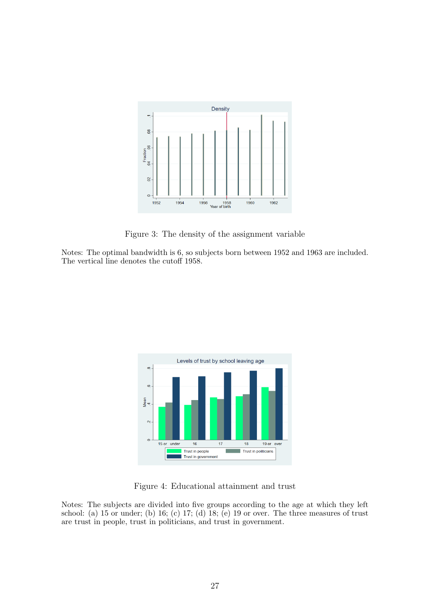<span id="page-26-0"></span>

Figure 3: The density of the assignment variable

Notes: The optimal bandwidth is 6, so subjects born between 1952 and 1963 are included. The vertical line denotes the cutoff 1958.

<span id="page-26-1"></span>

Figure 4: Educational attainment and trust

Notes: The subjects are divided into five groups according to the age at which they left school: (a) 15 or under; (b) 16; (c) 17; (d) 18; (e) 19 or over. The three measures of trust are trust in people, trust in politicians, and trust in government.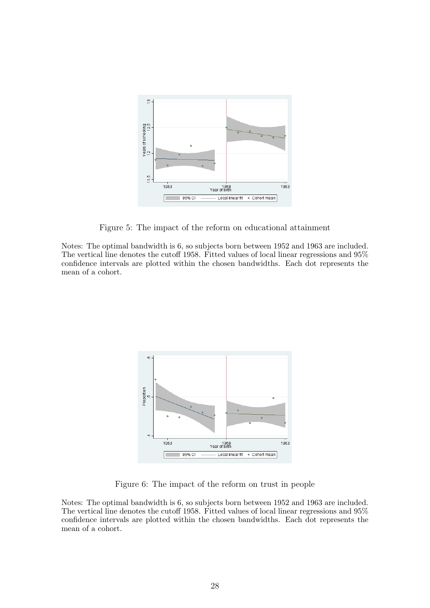<span id="page-27-0"></span>

Figure 5: The impact of the reform on educational attainment

Notes: The optimal bandwidth is 6, so subjects born between 1952 and 1963 are included. The vertical line denotes the cutoff 1958. Fitted values of local linear regressions and 95% confidence intervals are plotted within the chosen bandwidths. Each dot represents the mean of a cohort.

<span id="page-27-1"></span>

Figure 6: The impact of the reform on trust in people

Notes: The optimal bandwidth is 6, so subjects born between 1952 and 1963 are included. The vertical line denotes the cutoff 1958. Fitted values of local linear regressions and 95% confidence intervals are plotted within the chosen bandwidths. Each dot represents the mean of a cohort.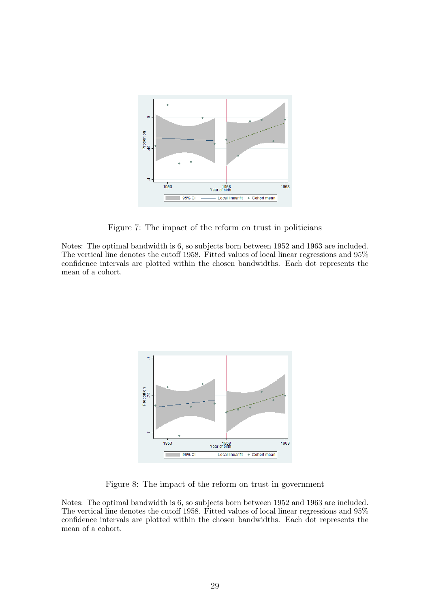<span id="page-28-0"></span>

Figure 7: The impact of the reform on trust in politicians

Notes: The optimal bandwidth is 6, so subjects born between 1952 and 1963 are included. The vertical line denotes the cutoff 1958. Fitted values of local linear regressions and 95% confidence intervals are plotted within the chosen bandwidths. Each dot represents the mean of a cohort.

<span id="page-28-1"></span>

Figure 8: The impact of the reform on trust in government

Notes: The optimal bandwidth is 6, so subjects born between 1952 and 1963 are included. The vertical line denotes the cutoff 1958. Fitted values of local linear regressions and 95% confidence intervals are plotted within the chosen bandwidths. Each dot represents the mean of a cohort.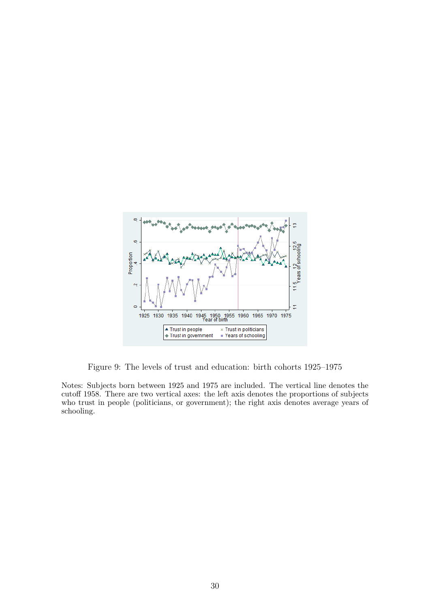<span id="page-29-0"></span>

Figure 9: The levels of trust and education: birth cohorts 1925–1975

Notes: Subjects born between 1925 and 1975 are included. The vertical line denotes the cutoff 1958. There are two vertical axes: the left axis denotes the proportions of subjects who trust in people (politicians, or government); the right axis denotes average years of schooling.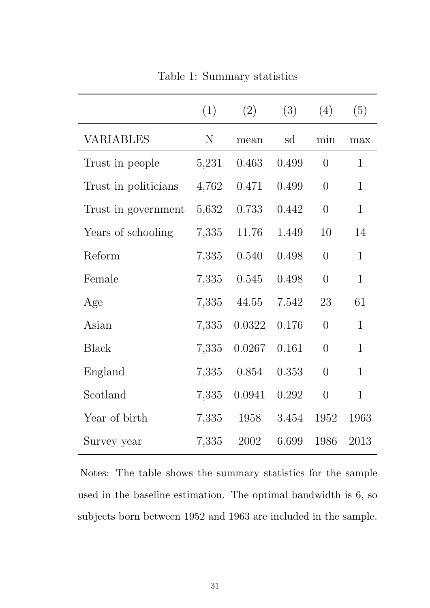<span id="page-30-0"></span>

|                      | (1)         | (2)    | (3)   | (4)            | (5)          |
|----------------------|-------------|--------|-------|----------------|--------------|
| VARIABLES            | $\mathbf N$ | mean   | sd    | min            | max          |
| Trust in people      | 5,231       | 0.463  | 0.499 | $\overline{0}$ | $\mathbf{1}$ |
| Trust in politicians | 4,762       | 0.471  | 0.499 | $\overline{0}$ | $\mathbf{1}$ |
| Trust in government  | 5,632       | 0.733  | 0.442 | $\overline{0}$ | $\mathbf{1}$ |
| Years of schooling   | 7,335       | 11.76  | 1.449 | 10             | 14           |
| Reform               | 7,335       | 0.540  | 0.498 | $\overline{0}$ | $\mathbf{1}$ |
| Female               | 7,335       | 0.545  | 0.498 | $\overline{0}$ | $\mathbf{1}$ |
| Age                  | 7,335       | 44.55  | 7.542 | 23             | 61           |
| Asian                | 7,335       | 0.0322 | 0.176 | $\overline{0}$ | $\mathbf{1}$ |
| <b>Black</b>         | 7,335       | 0.0267 | 0.161 | $\overline{0}$ | $\mathbf{1}$ |
| England              | 7,335       | 0.854  | 0.353 | $\overline{0}$ | $\mathbf{1}$ |
| Scotland             | 7,335       | 0.0941 | 0.292 | $\overline{0}$ | $\mathbf{1}$ |
| Year of birth        | 7,335       | 1958   | 3.454 | 1952           | 1963         |
| Survey year          | 7,335       | 2002   | 6.699 | 1986           | 2013         |

Table 1: Summary statistics

Notes: The table shows the summary statistics for the sample used in the baseline estimation. The optimal bandwidth is 6, so subjects born between 1952 and 1963 are included in the sample.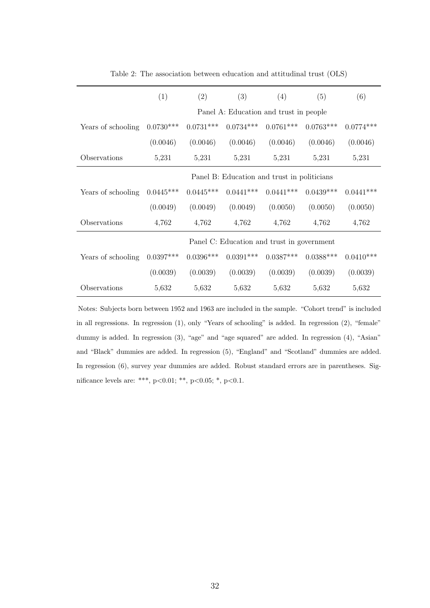<span id="page-31-0"></span>

|                    | (1)                                         | (2)         | (3)         | (4)                                        | (5)         | (6)         |
|--------------------|---------------------------------------------|-------------|-------------|--------------------------------------------|-------------|-------------|
|                    |                                             |             |             | Panel A: Education and trust in people     |             |             |
| Years of schooling | $0.0730***$                                 | $0.0731***$ | $0.0734***$ | $0.0761***$                                | $0.0763***$ | $0.0774***$ |
|                    | (0.0046)                                    | (0.0046)    | (0.0046)    | (0.0046)                                   | (0.0046)    | (0.0046)    |
| Observations       | 5,231                                       | 5,231       | 5,231       | 5,231                                      | 5,231       | 5,231       |
|                    | Panel B: Education and trust in politicians |             |             |                                            |             |             |
| Years of schooling | $0.0445***$                                 | $0.0445***$ | $0.0441***$ | $0.0441***$                                | $0.0439***$ | $0.0441***$ |
|                    | (0.0049)                                    | (0.0049)    | (0.0049)    | (0.0050)                                   | (0.0050)    | (0.0050)    |
| Observations       | 4,762                                       | 4,762       | 4,762       | 4,762                                      | 4,762       | 4,762       |
|                    |                                             |             |             | Panel C: Education and trust in government |             |             |
| Years of schooling | $0.0397***$                                 | $0.0396***$ | $0.0391***$ | $0.0387***$                                | $0.0388***$ | $0.0410***$ |
|                    | (0.0039)                                    | (0.0039)    | (0.0039)    | (0.0039)                                   | (0.0039)    | (0.0039)    |
| Observations       | 5,632                                       | 5,632       | 5,632       | 5,632                                      | 5,632       | 5,632       |

Table 2: The association between education and attitudinal trust (OLS)

Notes: Subjects born between 1952 and 1963 are included in the sample. "Cohort trend" is included in all regressions. In regression (1), only "Years of schooling" is added. In regression (2), "female" dummy is added. In regression (3), "age" and "age squared" are added. In regression (4), "Asian" and "Black" dummies are added. In regression (5), "England" and "Scotland" dummies are added. In regression (6), survey year dummies are added. Robust standard errors are in parentheses. Significance levels are: \*\*\*, p<0.01; \*\*, p<0.05; \*, p<0.1.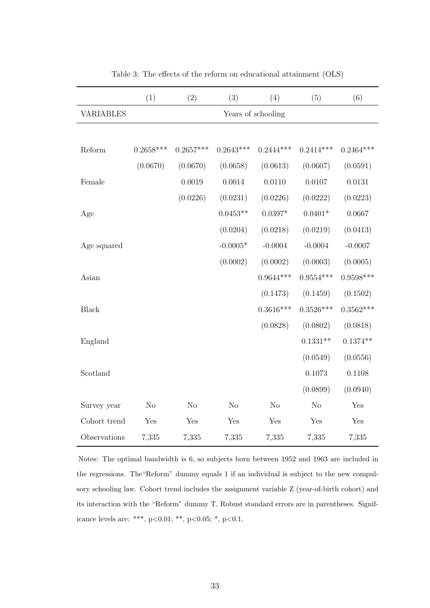<span id="page-32-0"></span>

|                  | (1)                | (2)            | (3)            | (4)         | (5)            | (6)         |
|------------------|--------------------|----------------|----------------|-------------|----------------|-------------|
| <b>VARIABLES</b> | Years of schooling |                |                |             |                |             |
|                  |                    |                |                |             |                |             |
| Reform           | $0.2658***$        | $0.2657***$    | $0.2643***$    | $0.2444***$ | $0.2414***$    | $0.2464***$ |
|                  | (0.0670)           | (0.0670)       | (0.0658)       | (0.0613)    | (0.0607)       | (0.0591)    |
| Female           |                    | 0.0019         | 0.0014         | 0.0110      | 0.0107         | 0.0131      |
|                  |                    | (0.0226)       | (0.0231)       | (0.0226)    | (0.0222)       | (0.0223)    |
| Age              |                    |                | $0.0453**$     | $0.0397*$   | $0.0401*$      | 0.0667      |
|                  |                    |                | (0.0204)       | (0.0218)    | (0.0219)       | (0.0413)    |
| Age squared      |                    |                | $-0.0005*$     | $-0.0004$   | $-0.0004$      | $-0.0007$   |
|                  |                    |                | (0.0002)       | (0.0002)    | (0.0003)       | (0.0005)    |
| Asian            |                    |                |                | $0.9644***$ | $0.9554***$    | $0.9598***$ |
|                  |                    |                |                | (0.1473)    | (0.1459)       | (0.1502)    |
| <b>Black</b>     |                    |                |                | $0.3616***$ | $0.3526***$    | $0.3562***$ |
|                  |                    |                |                | (0.0828)    | (0.0802)       | (0.0818)    |
| England          |                    |                |                |             | $0.1331**$     | $0.1374**$  |
|                  |                    |                |                |             | (0.0549)       | (0.0556)    |
| Scotland         |                    |                |                |             | 0.1073         | 0.1108      |
|                  |                    |                |                |             | (0.0899)       | (0.0940)    |
| Survey year      | N <sub>o</sub>     | N <sub>o</sub> | N <sub>o</sub> | No          | N <sub>o</sub> | Yes         |
| Cohort trend     | Yes                | Yes            | Yes            | Yes         | Yes            | Yes         |
| Observations     | 7,335              | 7,335          | 7,335          | 7,335       | 7,335          | 7,335       |

Table 3: The effects of the reform on educational attainment (OLS)

Notes: The optimal bandwidth is 6, so subjects born between 1952 and 1963 are included in the regressions. The"Reform" dummy equals 1 if an individual is subject to the new compulsory schooling law. Cohort trend includes the assignment variable Z (year-of-birth cohort) and its interaction with the "Reform" dummy T. Robust standard errors are in parentheses. Significance levels are: \*\*\*, p<0.01; \*\*, p<0.05; \*, p<0.1.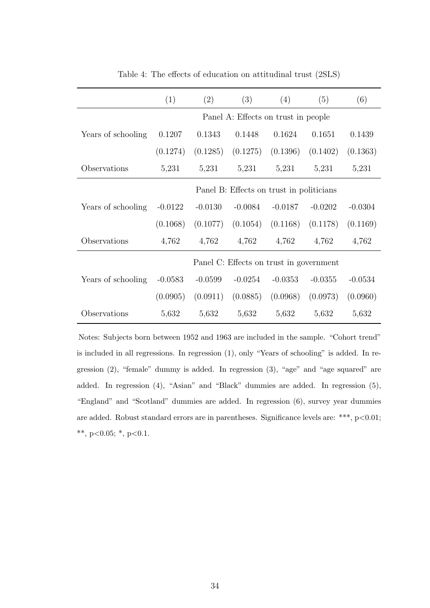<span id="page-33-0"></span>

|                    | (1)                                      | (2)       | (3)       | (4)                                     | (5)       | (6)       |
|--------------------|------------------------------------------|-----------|-----------|-----------------------------------------|-----------|-----------|
|                    | Panel A: Effects on trust in people      |           |           |                                         |           |           |
| Years of schooling | 0.1207                                   | 0.1343    | 0.1448    | 0.1624                                  | 0.1651    | 0.1439    |
|                    | (0.1274)                                 | (0.1285)  | (0.1275)  | $(0.1396)$ $(0.1402)$                   |           | (0.1363)  |
| Observations       | 5,231                                    | 5,231     | 5,231     | 5,231                                   | 5,231     | 5,231     |
|                    | Panel B: Effects on trust in politicians |           |           |                                         |           |           |
| Years of schooling | $-0.0122$                                | $-0.0130$ | $-0.0084$ | $-0.0187$                               | $-0.0202$ | $-0.0304$ |
|                    | (0.1068)                                 | (0.1077)  | (0.1054)  | (0.1168)                                | (0.1178)  | (0.1169)  |
| Observations       | 4,762                                    | 4,762     | 4,762     | 4,762                                   | 4,762     | 4,762     |
|                    |                                          |           |           | Panel C: Effects on trust in government |           |           |
| Years of schooling | $-0.0583$                                | $-0.0599$ | $-0.0254$ | $-0.0353$                               | $-0.0355$ | $-0.0534$ |
|                    | (0.0905)                                 | (0.0911)  | (0.0885)  | (0.0968)                                | (0.0973)  | (0.0960)  |
| Observations       | 5,632                                    | 5,632     | 5,632     | 5,632                                   | 5,632     | 5,632     |

Table 4: The effects of education on attitudinal trust (2SLS)

Notes: Subjects born between 1952 and 1963 are included in the sample. "Cohort trend" is included in all regressions. In regression (1), only "Years of schooling" is added. In regression (2), "female" dummy is added. In regression (3), "age" and "age squared" are added. In regression (4), "Asian" and "Black" dummies are added. In regression (5), "England" and "Scotland" dummies are added. In regression (6), survey year dummies are added. Robust standard errors are in parentheses. Significance levels are: \*\*\*, p<0.01; \*\*, p<0.05; \*, p<0.1.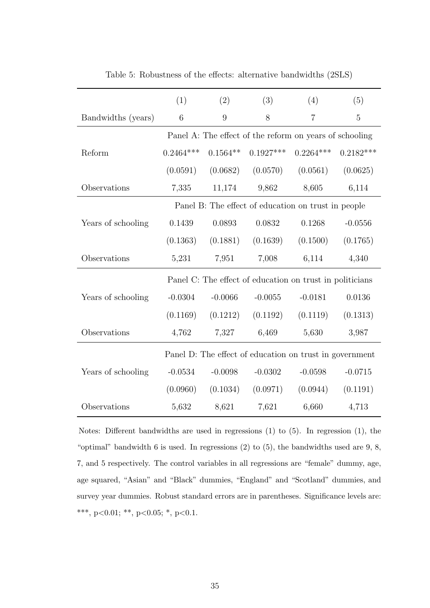|                    | (1)                                                 | (2)        | (3)                                                      | (4)            | (5)            |  |  |  |
|--------------------|-----------------------------------------------------|------------|----------------------------------------------------------|----------------|----------------|--|--|--|
| Bandwidths (years) | $\,6$                                               | 9          | 8                                                        | $\overline{7}$ | $\overline{5}$ |  |  |  |
|                    |                                                     |            | Panel A: The effect of the reform on years of schooling  |                |                |  |  |  |
| Reform             | $0.2464***$                                         | $0.1564**$ | $0.1927***$                                              | $0.2264***$    | $0.2182***$    |  |  |  |
|                    | (0.0591)                                            | (0.0682)   | (0.0570)                                                 | (0.0561)       | (0.0625)       |  |  |  |
| Observations       | 7,335                                               | 11,174     | 9,862                                                    | 8,605          | 6,114          |  |  |  |
|                    | Panel B: The effect of education on trust in people |            |                                                          |                |                |  |  |  |
| Years of schooling | 0.1439                                              | 0.0893     | 0.0832                                                   | 0.1268         | $-0.0556$      |  |  |  |
|                    | (0.1363)                                            | (0.1881)   | (0.1639)                                                 | (0.1500)       | (0.1765)       |  |  |  |
| Observations       | 5,231                                               | 7,951      | 7,008                                                    | 6,114          | 4,340          |  |  |  |
|                    |                                                     |            | Panel C: The effect of education on trust in politicians |                |                |  |  |  |
| Years of schooling | $-0.0304$                                           | $-0.0066$  | $-0.0055$                                                | $-0.0181$      | 0.0136         |  |  |  |
|                    | (0.1169)                                            | (0.1212)   | (0.1192)                                                 | (0.1119)       | (0.1313)       |  |  |  |
| Observations       | 4,762                                               | 7,327      | 6,469                                                    | 5,630          | 3,987          |  |  |  |
|                    |                                                     |            | Panel D: The effect of education on trust in government  |                |                |  |  |  |
| Years of schooling | $-0.0534$                                           | $-0.0098$  | $-0.0302$                                                | $-0.0598$      | $-0.0715$      |  |  |  |
|                    | (0.0960)                                            | (0.1034)   | (0.0971)                                                 | (0.0944)       | (0.1191)       |  |  |  |
| Observations       | 5,632                                               | 8,621      | 7,621                                                    | 6,660          | 4,713          |  |  |  |

<span id="page-34-0"></span>Table 5: Robustness of the effects: alternative bandwidths (2SLS)

Notes: Different bandwidths are used in regressions (1) to (5). In regression (1), the "optimal" bandwidth  $6$  is used. In regressions  $(2)$  to  $(5)$ , the bandwidths used are  $9, 8$ , 7, and 5 respectively. The control variables in all regressions are "female" dummy, age, age squared, "Asian" and "Black" dummies, "England" and "Scotland" dummies, and survey year dummies. Robust standard errors are in parentheses. Significance levels are: \*\*\*, p<0.01; \*\*, p<0.05; \*, p<0.1.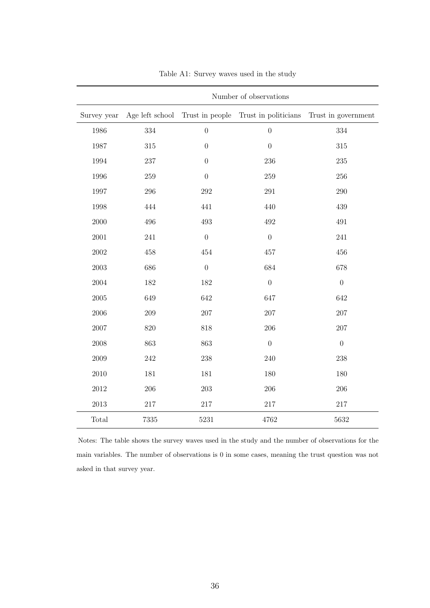<span id="page-35-0"></span>

|             | Number of observations |                  |                                                      |                     |  |  |
|-------------|------------------------|------------------|------------------------------------------------------|---------------------|--|--|
| Survey year |                        |                  | Age left school Trust in people Trust in politicians | Trust in government |  |  |
| 1986        | $334\,$                | $\boldsymbol{0}$ | $\boldsymbol{0}$                                     | 334                 |  |  |
| 1987        | $315\,$                | $\boldsymbol{0}$ | $\boldsymbol{0}$                                     | 315                 |  |  |
| 1994        | $237\,$                | $\boldsymbol{0}$ | 236                                                  | 235                 |  |  |
| 1996        | $259\,$                | $\boldsymbol{0}$ | 259                                                  | 256                 |  |  |
| 1997        | $\,296$                | 292              | 291                                                  | 290                 |  |  |
| 1998        | 444                    | 441              | 440                                                  | 439                 |  |  |
| 2000        | 496                    | 493              | 492                                                  | 491                 |  |  |
| 2001        | 241                    | $\boldsymbol{0}$ | $\boldsymbol{0}$                                     | 241                 |  |  |
| $2002\,$    | 458                    | 454              | 457                                                  | 456                 |  |  |
| $\,2003\,$  | 686                    | $\boldsymbol{0}$ | 684                                                  | 678                 |  |  |
| 2004        | 182                    | 182              | $\boldsymbol{0}$                                     | $\boldsymbol{0}$    |  |  |
| $\,2005\,$  | 649                    | 642              | 647                                                  | 642                 |  |  |
| 2006        | 209                    | 207              | 207                                                  | 207                 |  |  |
| 2007        | $820\,$                | 818              | 206                                                  | 207                 |  |  |
| 2008        | 863                    | 863              | $\overline{0}$                                       | $\boldsymbol{0}$    |  |  |
| 2009        | 242                    | 238              | 240                                                  | 238                 |  |  |
| 2010        | 181                    | 181              | 180                                                  | 180                 |  |  |
| $2012\,$    | 206                    | $203\,$          | 206                                                  | 206                 |  |  |
| $2013\,$    | $217\,$                | $217\,$          | $217\,$                                              | $217\,$             |  |  |
| Total       | 7335                   | 5231             | 4762                                                 | 5632                |  |  |

Table A1: Survey waves used in the study

Notes: The table shows the survey waves used in the study and the number of observations for the main variables. The number of observations is 0 in some cases, meaning the trust question was not asked in that survey year.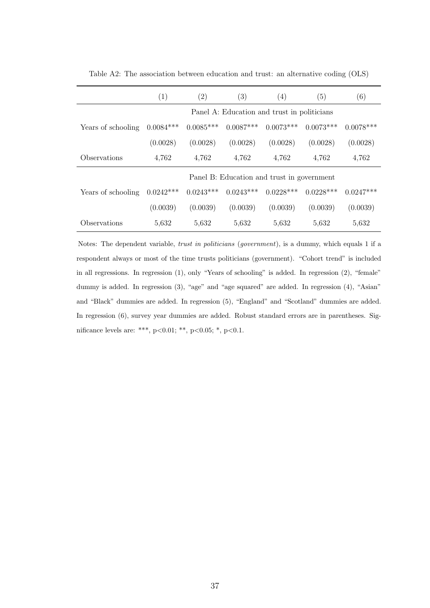|                    | (1)                                         | (2)         | (3)         | (4)         | (5)         | (6)         |
|--------------------|---------------------------------------------|-------------|-------------|-------------|-------------|-------------|
|                    | Panel A: Education and trust in politicians |             |             |             |             |             |
| Years of schooling | $0.0084***$                                 | $0.0085***$ | $0.0087***$ | $0.0073***$ | $0.0073***$ | $0.0078***$ |
|                    | (0.0028)                                    | (0.0028)    | (0.0028)    | (0.0028)    | (0.0028)    | (0.0028)    |
| Observations       | 4,762                                       | 4,762       | 4,762       | 4,762       | 4,762       | 4,762       |
|                    | Panel B: Education and trust in government  |             |             |             |             |             |
| Years of schooling | $0.0242***$                                 | $0.0243***$ | $0.0243***$ | $0.0228***$ | $0.0228***$ | $0.0247***$ |
|                    | (0.0039)                                    | (0.0039)    | (0.0039)    | (0.0039)    | (0.0039)    | (0.0039)    |
| Observations       | 5,632                                       | 5,632       | 5,632       | 5,632       | 5,632       | 5,632       |

Table A2: The association between education and trust: an alternative coding (OLS)

Notes: The dependent variable, trust in politicians (government), is a dummy, which equals 1 if a respondent always or most of the time trusts politicians (government). "Cohort trend" is included in all regressions. In regression (1), only "Years of schooling" is added. In regression (2), "female" dummy is added. In regression  $(3)$ , "age" and "age squared" are added. In regression  $(4)$ , "Asian" and "Black" dummies are added. In regression (5), "England" and "Scotland" dummies are added. In regression (6), survey year dummies are added. Robust standard errors are in parentheses. Significance levels are: \*\*\*, p<0.01; \*\*, p<0.05; \*, p<0.1.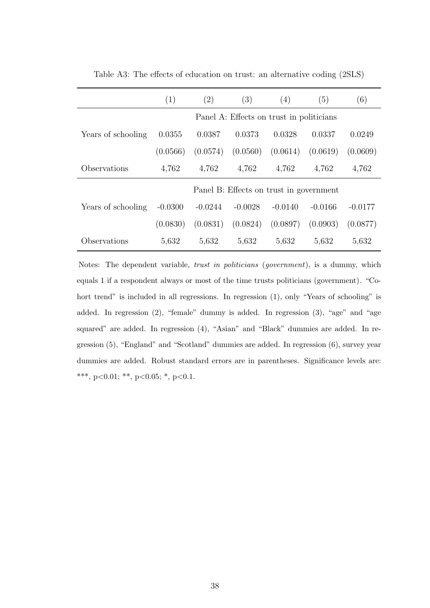|                                          | (1)                                     | $\left( 2\right)$ | (3)       | (4)       | (5)       | (6)       |
|------------------------------------------|-----------------------------------------|-------------------|-----------|-----------|-----------|-----------|
| Panel A: Effects on trust in politicians |                                         |                   |           |           |           |           |
| Years of schooling                       | 0.0355                                  | 0.0387            | 0.0373    | 0.0328    | 0.0337    | 0.0249    |
|                                          | (0.0566)                                | (0.0574)          | (0.0560)  | (0.0614)  | (0.0619)  | (0.0609)  |
| Observations                             | 4,762                                   | 4,762             | 4,762     | 4,762     | 4,762     | 4,762     |
|                                          | Panel B: Effects on trust in government |                   |           |           |           |           |
| Years of schooling                       | $-0.0300$                               | $-0.0244$         | $-0.0028$ | $-0.0140$ | $-0.0166$ | $-0.0177$ |
|                                          | (0.0830)                                | (0.0831)          | (0.0824)  | (0.0897)  | (0.0903)  | (0.0877)  |
| Observations                             | 5,632                                   | 5.632             | 5,632     | 5,632     | 5,632     | 5,632     |

Table A3: The effects of education on trust: an alternative coding (2SLS)

Notes: The dependent variable, trust in politicians (government), is a dummy, which equals 1 if a respondent always or most of the time trusts politicians (government). "Cohort trend" is included in all regressions. In regression (1), only "Years of schooling" is added. In regression (2), "female" dummy is added. In regression (3), "age" and "age squared" are added. In regression (4), "Asian" and "Black" dummies are added. In regression (5), "England" and "Scotland" dummies are added. In regression (6), survey year dummies are added. Robust standard errors are in parentheses. Significance levels are: \*\*\*, p<0.01; \*\*, p<0.05; \*, p<0.1.